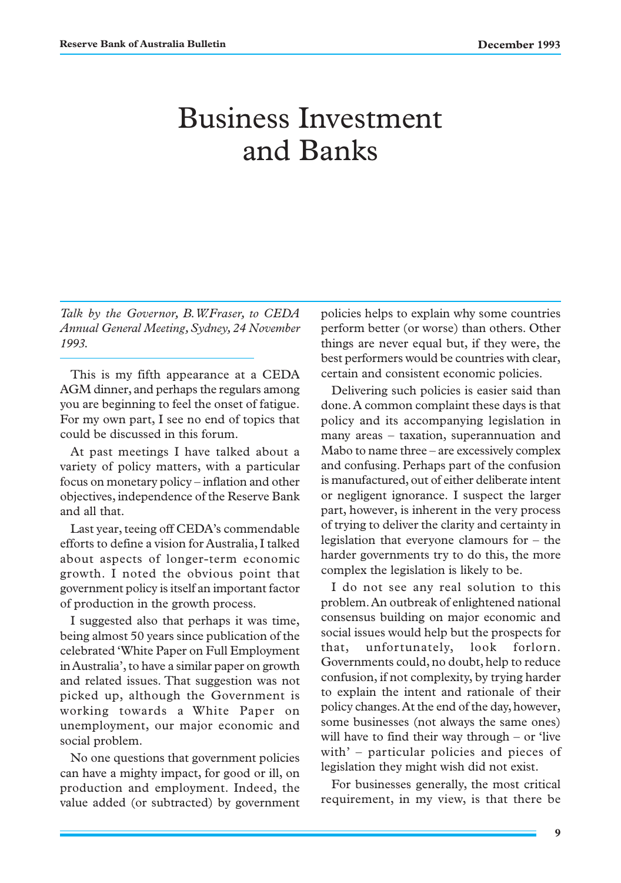# Business Investment and Banks

*Talk by the Governor, B.W.Fraser, to CEDA Annual General Meeting, Sydney, 24 November 1993.*

This is my fifth appearance at a CEDA AGM dinner, and perhaps the regulars among you are beginning to feel the onset of fatigue. For my own part, I see no end of topics that could be discussed in this forum.

At past meetings I have talked about a variety of policy matters, with a particular focus on monetary policy – inflation and other objectives, independence of the Reserve Bank and all that.

Last year, teeing off CEDA's commendable efforts to define a vision for Australia, I talked about aspects of longer-term economic growth. I noted the obvious point that government policy is itself an important factor of production in the growth process.

I suggested also that perhaps it was time, being almost 50 years since publication of the celebrated 'White Paper on Full Employment in Australia', to have a similar paper on growth and related issues. That suggestion was not picked up, although the Government is working towards a White Paper on unemployment, our major economic and social problem.

No one questions that government policies can have a mighty impact, for good or ill, on production and employment. Indeed, the value added (or subtracted) by government

policies helps to explain why some countries perform better (or worse) than others. Other things are never equal but, if they were, the best performers would be countries with clear, certain and consistent economic policies.

Delivering such policies is easier said than done. A common complaint these days is that policy and its accompanying legislation in many areas – taxation, superannuation and Mabo to name three – are excessively complex and confusing. Perhaps part of the confusion is manufactured, out of either deliberate intent or negligent ignorance. I suspect the larger part, however, is inherent in the very process of trying to deliver the clarity and certainty in legislation that everyone clamours for – the harder governments try to do this, the more complex the legislation is likely to be.

I do not see any real solution to this problem. An outbreak of enlightened national consensus building on major economic and social issues would help but the prospects for that, unfortunately, look forlorn. Governments could, no doubt, help to reduce confusion, if not complexity, by trying harder to explain the intent and rationale of their policy changes. At the end of the day, however, some businesses (not always the same ones) will have to find their way through – or 'live with' – particular policies and pieces of legislation they might wish did not exist.

For businesses generally, the most critical requirement, in my view, is that there be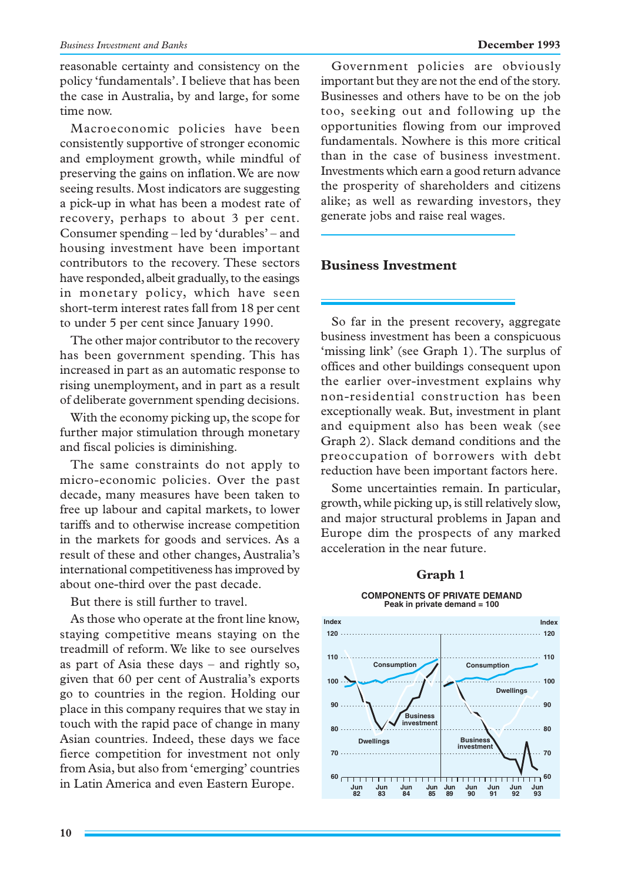reasonable certainty and consistency on the policy 'fundamentals'. I believe that has been the case in Australia, by and large, for some time now.

Macroeconomic policies have been consistently supportive of stronger economic and employment growth, while mindful of preserving the gains on inflation. We are now seeing results. Most indicators are suggesting a pick-up in what has been a modest rate of recovery, perhaps to about 3 per cent. Consumer spending – led by 'durables' – and housing investment have been important contributors to the recovery. These sectors have responded, albeit gradually, to the easings in monetary policy, which have seen short-term interest rates fall from 18 per cent to under 5 per cent since January 1990.

The other major contributor to the recovery has been government spending. This has increased in part as an automatic response to rising unemployment, and in part as a result of deliberate government spending decisions.

With the economy picking up, the scope for further major stimulation through monetary and fiscal policies is diminishing.

The same constraints do not apply to micro-economic policies. Over the past decade, many measures have been taken to free up labour and capital markets, to lower tariffs and to otherwise increase competition in the markets for goods and services. As a result of these and other changes, Australia's international competitiveness has improved by about one-third over the past decade.

But there is still further to travel.

As those who operate at the front line know, staying competitive means staying on the treadmill of reform. We like to see ourselves as part of Asia these days – and rightly so, given that 60 per cent of Australia's exports go to countries in the region. Holding our place in this company requires that we stay in touch with the rapid pace of change in many Asian countries. Indeed, these days we face fierce competition for investment not only from Asia, but also from 'emerging' countries in Latin America and even Eastern Europe.

Government policies are obviously important but they are not the end of the story. Businesses and others have to be on the job too, seeking out and following up the opportunities flowing from our improved fundamentals. Nowhere is this more critical than in the case of business investment. Investments which earn a good return advance the prosperity of shareholders and citizens alike; as well as rewarding investors, they generate jobs and raise real wages.

## **Business Investment**

So far in the present recovery, aggregate business investment has been a conspicuous 'missing link' (see Graph 1). The surplus of offices and other buildings consequent upon the earlier over-investment explains why non-residential construction has been exceptionally weak. But, investment in plant and equipment also has been weak (see Graph 2). Slack demand conditions and the preoccupation of borrowers with debt reduction have been important factors here.

Some uncertainties remain. In particular, growth, while picking up, is still relatively slow, and major structural problems in Japan and Europe dim the prospects of any marked acceleration in the near future.

#### **Graph 1**

#### **COMPONENTS OF PRIVATE DEMAND Peak in private demand = 100**

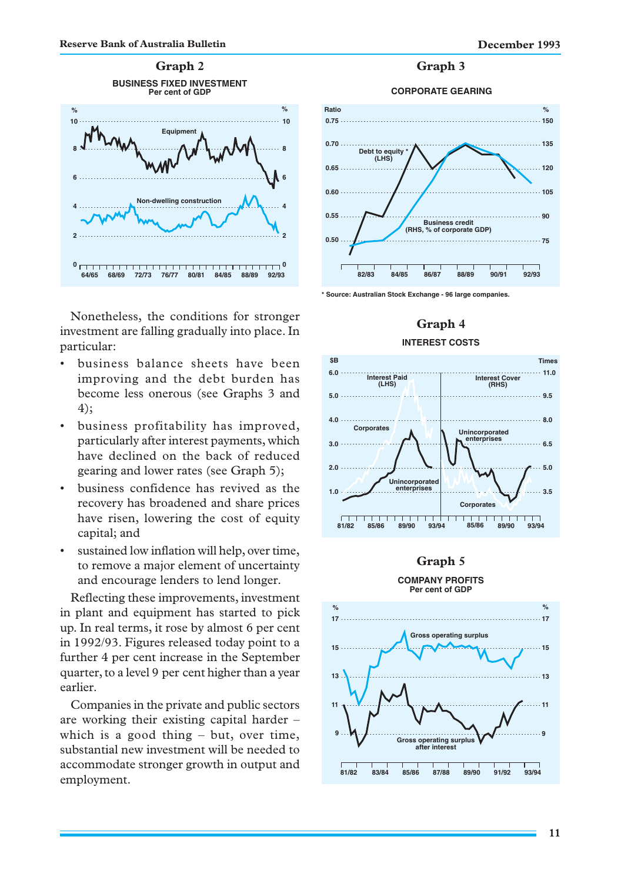

**CORPORATE GEARING Graph 3**



**\* Source: Australian Stock Exchange - 96 large companies.**

#### **Graph 4**

#### **INTEREST COSTS**



#### **Graph 5**



Nonetheless, the conditions for stronger investment are falling gradually into place. In particular:

- business balance sheets have been improving and the debt burden has become less onerous (see Graphs 3 and 4);
- business profitability has improved, particularly after interest payments, which have declined on the back of reduced gearing and lower rates (see Graph 5);
- business confidence has revived as the recovery has broadened and share prices have risen, lowering the cost of equity capital; and
- sustained low inflation will help, over time, to remove a major element of uncertainty and encourage lenders to lend longer.

Reflecting these improvements, investment in plant and equipment has started to pick up. In real terms, it rose by almost 6 per cent in 1992/93. Figures released today point to a further 4 per cent increase in the September quarter, to a level 9 per cent higher than a year earlier.

Companies in the private and public sectors are working their existing capital harder – which is a good thing – but, over time, substantial new investment will be needed to accommodate stronger growth in output and employment.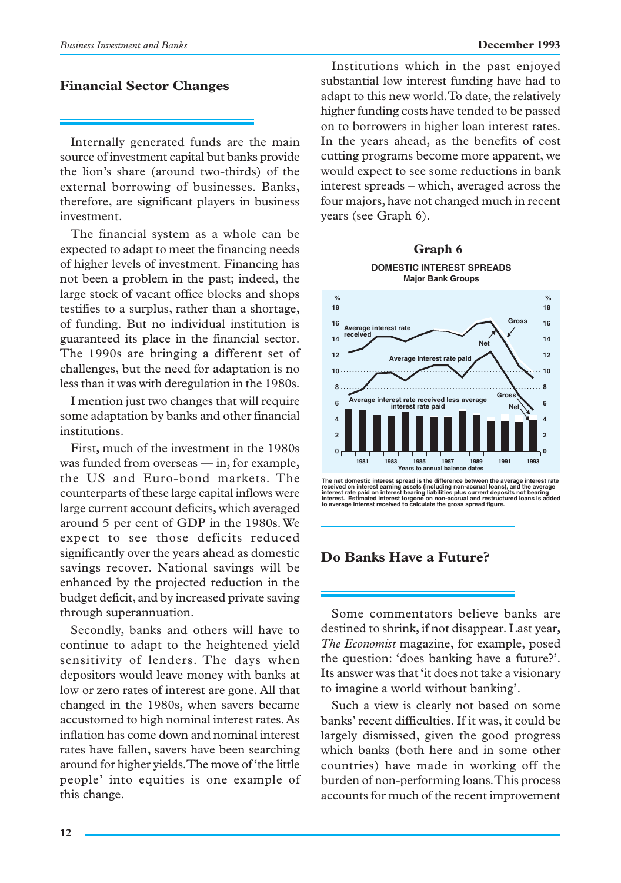## **Financial Sector Changes**

Internally generated funds are the main source of investment capital but banks provide the lion's share (around two-thirds) of the external borrowing of businesses. Banks, therefore, are significant players in business investment.

The financial system as a whole can be expected to adapt to meet the financing needs of higher levels of investment. Financing has not been a problem in the past; indeed, the large stock of vacant office blocks and shops testifies to a surplus, rather than a shortage, of funding. But no individual institution is guaranteed its place in the financial sector. The 1990s are bringing a different set of challenges, but the need for adaptation is no less than it was with deregulation in the 1980s.

I mention just two changes that will require some adaptation by banks and other financial institutions.

First, much of the investment in the 1980s was funded from overseas — in, for example, the US and Euro-bond markets. The counterparts of these large capital inflows were large current account deficits, which averaged around 5 per cent of GDP in the 1980s. We expect to see those deficits reduced significantly over the years ahead as domestic savings recover. National savings will be enhanced by the projected reduction in the budget deficit, and by increased private saving through superannuation.

Secondly, banks and others will have to continue to adapt to the heightened yield sensitivity of lenders. The days when depositors would leave money with banks at low or zero rates of interest are gone. All that changed in the 1980s, when savers became accustomed to high nominal interest rates. As inflation has come down and nominal interest rates have fallen, savers have been searching around for higher yields. The move of 'the little people' into equities is one example of this change.

Institutions which in the past enjoyed substantial low interest funding have had to adapt to this new world. To date, the relatively higher funding costs have tended to be passed on to borrowers in higher loan interest rates. In the years ahead, as the benefits of cost cutting programs become more apparent, we would expect to see some reductions in bank interest spreads – which, averaged across the four majors, have not changed much in recent years (see Graph 6).



**received on interest earning assets (including non-accrual loans), and the average interest rate paid on interest bearing liabilities plus current deposits not bearing interest. Estimated interest forgone on non-accrual and restructured loans is added to average interest received to calculate the gross spread figure.**

## **Do Banks Have a Future?**

Some commentators believe banks are destined to shrink, if not disappear. Last year, *The Economist* magazine, for example, posed the question: 'does banking have a future?'. Its answer was that 'it does not take a visionary to imagine a world without banking'.

Such a view is clearly not based on some banks' recent difficulties. If it was, it could be largely dismissed, given the good progress which banks (both here and in some other countries) have made in working off the burden of non-performing loans. This process accounts for much of the recent improvement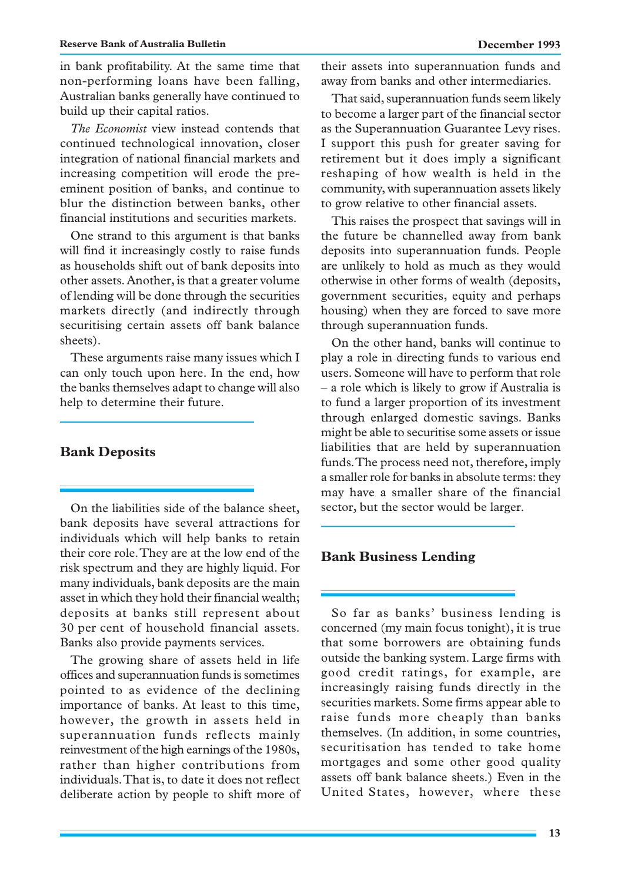in bank profitability. At the same time that non-performing loans have been falling, Australian banks generally have continued to build up their capital ratios.

*The Economist* view instead contends that continued technological innovation, closer integration of national financial markets and increasing competition will erode the preeminent position of banks, and continue to blur the distinction between banks, other financial institutions and securities markets.

One strand to this argument is that banks will find it increasingly costly to raise funds as households shift out of bank deposits into other assets. Another, is that a greater volume of lending will be done through the securities markets directly (and indirectly through securitising certain assets off bank balance sheets).

These arguments raise many issues which I can only touch upon here. In the end, how the banks themselves adapt to change will also help to determine their future.

#### **Bank Deposits**

On the liabilities side of the balance sheet, bank deposits have several attractions for individuals which will help banks to retain their core role. They are at the low end of the risk spectrum and they are highly liquid. For many individuals, bank deposits are the main asset in which they hold their financial wealth; deposits at banks still represent about 30 per cent of household financial assets. Banks also provide payments services.

The growing share of assets held in life offices and superannuation funds is sometimes pointed to as evidence of the declining importance of banks. At least to this time, however, the growth in assets held in superannuation funds reflects mainly reinvestment of the high earnings of the 1980s, rather than higher contributions from individuals. That is, to date it does not reflect deliberate action by people to shift more of their assets into superannuation funds and away from banks and other intermediaries.

That said, superannuation funds seem likely to become a larger part of the financial sector as the Superannuation Guarantee Levy rises. I support this push for greater saving for retirement but it does imply a significant reshaping of how wealth is held in the community, with superannuation assets likely to grow relative to other financial assets.

This raises the prospect that savings will in the future be channelled away from bank deposits into superannuation funds. People are unlikely to hold as much as they would otherwise in other forms of wealth (deposits, government securities, equity and perhaps housing) when they are forced to save more through superannuation funds.

On the other hand, banks will continue to play a role in directing funds to various end users. Someone will have to perform that role – a role which is likely to grow if Australia is to fund a larger proportion of its investment through enlarged domestic savings. Banks might be able to securitise some assets or issue liabilities that are held by superannuation funds. The process need not, therefore, imply a smaller role for banks in absolute terms: they may have a smaller share of the financial sector, but the sector would be larger.

### **Bank Business Lending**

So far as banks' business lending is concerned (my main focus tonight), it is true that some borrowers are obtaining funds outside the banking system. Large firms with good credit ratings, for example, are increasingly raising funds directly in the securities markets. Some firms appear able to raise funds more cheaply than banks themselves. (In addition, in some countries, securitisation has tended to take home mortgages and some other good quality assets off bank balance sheets.) Even in the United States, however, where these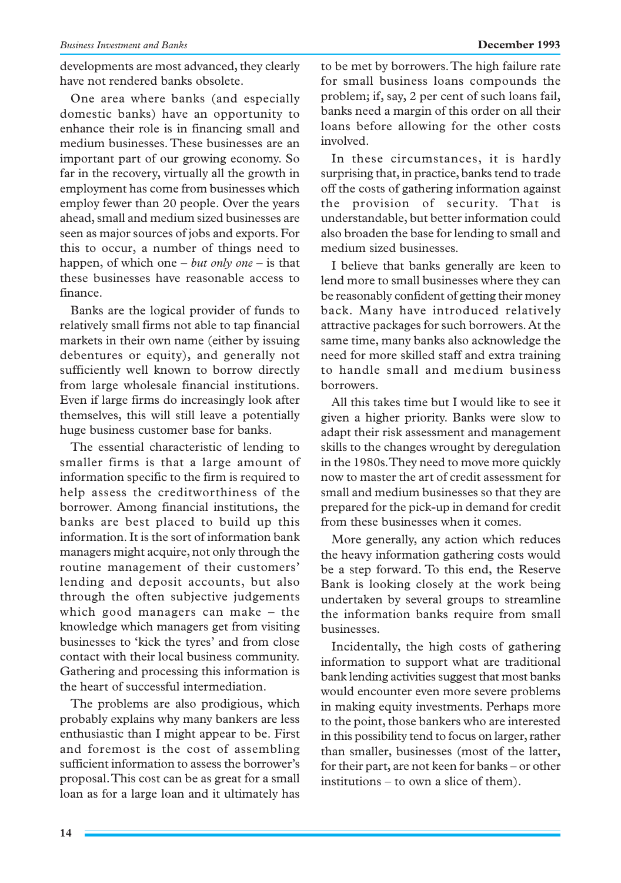developments are most advanced, they clearly have not rendered banks obsolete.

One area where banks (and especially domestic banks) have an opportunity to enhance their role is in financing small and medium businesses. These businesses are an important part of our growing economy. So far in the recovery, virtually all the growth in employment has come from businesses which employ fewer than 20 people. Over the years ahead, small and medium sized businesses are seen as major sources of jobs and exports. For this to occur, a number of things need to happen, of which one – *but only one* – is that these businesses have reasonable access to finance.

Banks are the logical provider of funds to relatively small firms not able to tap financial markets in their own name (either by issuing debentures or equity), and generally not sufficiently well known to borrow directly from large wholesale financial institutions. Even if large firms do increasingly look after themselves, this will still leave a potentially huge business customer base for banks.

The essential characteristic of lending to smaller firms is that a large amount of information specific to the firm is required to help assess the creditworthiness of the borrower. Among financial institutions, the banks are best placed to build up this information. It is the sort of information bank managers might acquire, not only through the routine management of their customers' lending and deposit accounts, but also through the often subjective judgements which good managers can make – the knowledge which managers get from visiting businesses to 'kick the tyres' and from close contact with their local business community. Gathering and processing this information is the heart of successful intermediation.

The problems are also prodigious, which probably explains why many bankers are less enthusiastic than I might appear to be. First and foremost is the cost of assembling sufficient information to assess the borrower's proposal. This cost can be as great for a small loan as for a large loan and it ultimately has

to be met by borrowers. The high failure rate for small business loans compounds the problem; if, say, 2 per cent of such loans fail, banks need a margin of this order on all their loans before allowing for the other costs involved.

In these circumstances, it is hardly surprising that, in practice, banks tend to trade off the costs of gathering information against the provision of security. That is understandable, but better information could also broaden the base for lending to small and medium sized businesses.

I believe that banks generally are keen to lend more to small businesses where they can be reasonably confident of getting their money back. Many have introduced relatively attractive packages for such borrowers. At the same time, many banks also acknowledge the need for more skilled staff and extra training to handle small and medium business borrowers.

All this takes time but I would like to see it given a higher priority. Banks were slow to adapt their risk assessment and management skills to the changes wrought by deregulation in the 1980s. They need to move more quickly now to master the art of credit assessment for small and medium businesses so that they are prepared for the pick-up in demand for credit from these businesses when it comes.

More generally, any action which reduces the heavy information gathering costs would be a step forward. To this end, the Reserve Bank is looking closely at the work being undertaken by several groups to streamline the information banks require from small businesses.

Incidentally, the high costs of gathering information to support what are traditional bank lending activities suggest that most banks would encounter even more severe problems in making equity investments. Perhaps more to the point, those bankers who are interested in this possibility tend to focus on larger, rather than smaller, businesses (most of the latter, for their part, are not keen for banks – or other institutions – to own a slice of them).